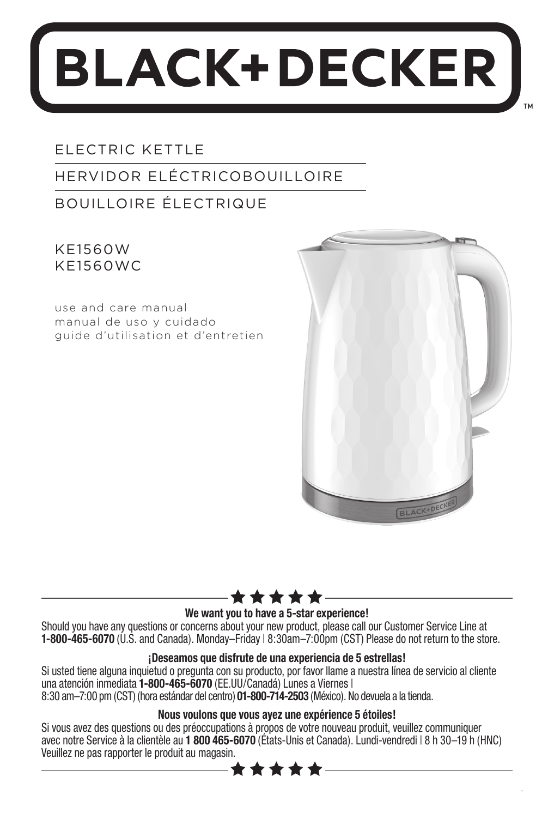# **BLACK+DECKER**

### ELECTRIC KETTLE

### HERVIDOR ELÉCTRICOBOUILLOIRE

### BOUILLOIRE ÉLECTRIQUE

KE1560W KE1560WC

use and care manual manual de uso y cuidado guide d'utilisation et d'entretien



1



#### **We want you to have a 5-star experience!**

Should you have any questions or concerns about your new product, please call our Customer Service Line at **1-800-465-6070** (U.S. and Canada). Monday–Friday | 8:30am–7:00pm (CST) Please do not return to the store.

#### **¡Deseamos que disfrute de una experiencia de 5 estrellas!**

Si usted tiene alguna inquietud o pregunta con su producto, por favor llame a nuestra línea de servicio al cliente una atención inmediata **1-800-465-6070** (EE.UU/Canadá) Lunes a Viernes | 8:30 am–7:00 pm (CST) (hora estándar del centro) **01-800-714-2503** (México). No devuela a la tienda.

### **Nous voulons que vous ayez une expérience 5 étoiles!**

Si vous avez des questions ou des préoccupations à propos de votre nouveau produit, veuillez communiquer avec notre Service à la clientèle au **1 800 465-6070** (États-Unis et Canada). Lundi-vendredi | 8 h 30–19 h (HNC) Veuillez ne pas rapporter le produit au magasin.

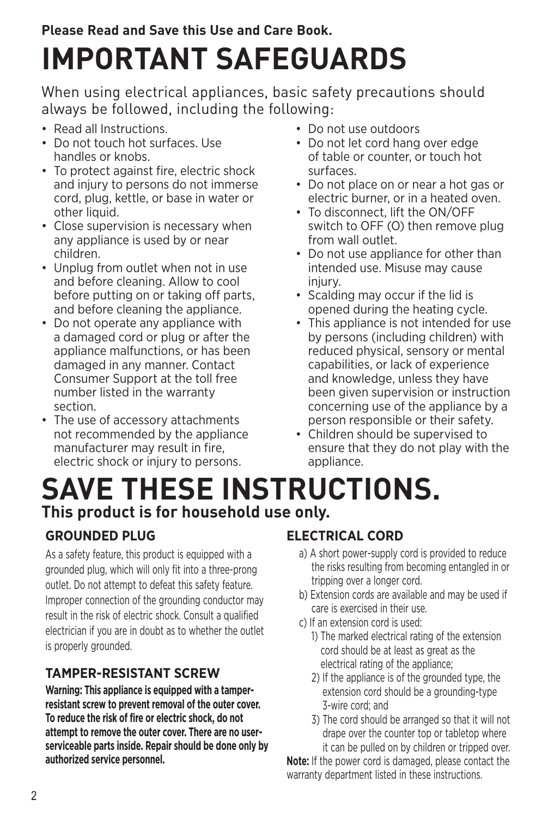### **Please Read and Save this Use and Care Book. IMPORTANT SAFEGUARDS**

When using electrical appliances, basic safety precautions should always be followed, including the following:

- Read all Instructions.
- Do not touch hot surfaces. Use handles or knobs.
- To protect against fire, electric shock and injury to persons do not immerse cord, plug, kettle, or base in water or other liquid.
- Close supervision is necessary when any appliance is used by or near children.
- Unplug from outlet when not in use and before cleaning. Allow to cool before putting on or taking off parts, and before cleaning the appliance.
- Do not operate any appliance with a damaged cord or plug or after the appliance malfunctions, or has been damaged in any manner. Contact Consumer Support at the toll free number listed in the warranty section.
- The use of accessory attachments not recommended by the appliance manufacturer may result in fire, electric shock or injury to persons.
- Do not use outdoors
- Do not let cord hang over edge of table or counter, or touch hot surfaces.
- Do not place on or near a hot gas or electric burner, or in a heated oven.
- To disconnect, lift the ON/OFF switch to OFF (O) then remove plug from wall outlet.
- Do not use appliance for other than intended use. Misuse may cause injury.
- Scalding may occur if the lid is opened during the heating cycle.
- This appliance is not intended for use by persons (including children) with reduced physical, sensory or mental capabilities, or lack of experience and knowledge, unless they have been given supervision or instruction concerning use of the appliance by a person responsible or their safety.
- Children should be supervised to ensure that they do not play with the appliance.

### **SAVE THESE INSTRUCTIONS. This product is for household use only.**

### **GROUNDED PLUG**

As a safety feature, this product is equipped with a grounded plug, which will only fit into a three-prong outlet. Do not attempt to defeat this safety feature. Improper connection of the grounding conductor may result in the risk of electric shock. Consult a qualified electrician if you are in doubt as to whether the outlet is properly grounded.

### **TAMPER-RESISTANT SCREW**

**Warning: This appliance is equipped with a tamperresistant screw to prevent removal of the outer cover. To reduce the risk of fire or electric shock, do not attempt to remove the outer cover. There are no userserviceable parts inside. Repair should be done only by authorized service personnel.**

### **ELECTRICAL CORD**

- a) A short power-supply cord is provided to reduce the risks resulting from becoming entangled in or tripping over a longer cord.
- b) Extension cords are available and may be used if care is exercised in their use.
- c) If an extension cord is used:
	- 1) The marked electrical rating of the extension cord should be at least as great as the electrical rating of the appliance;
	- 2) If the appliance is of the grounded type, the extension cord should be a grounding-type 3-wire cord; and
	- 3) The cord should be arranged so that it will not drape over the counter top or tabletop where it can be pulled on by children or tripped over.

**Note:** If the power cord is damaged, please contact the warranty department listed in these instructions.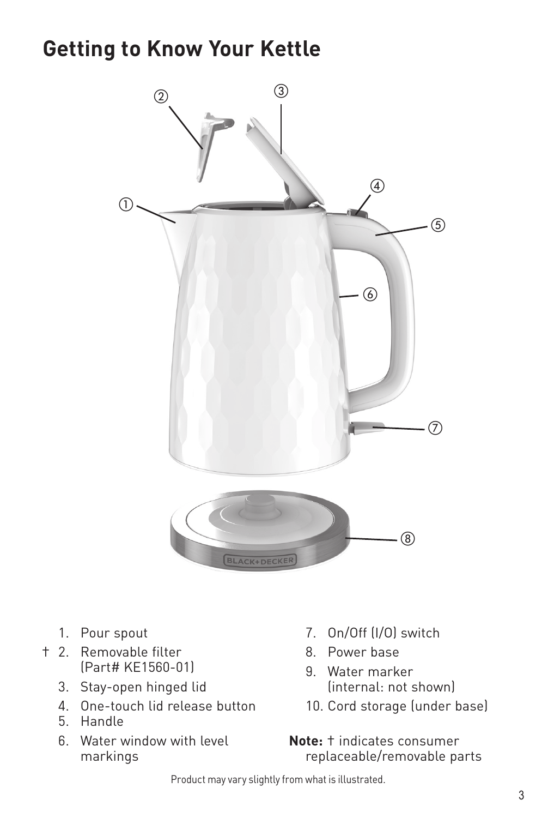### **Getting to Know Your Kettle**



- 1. Pour spout
- † 2. Removable filter (Part# KE1560-01)
	- 3. Stay-open hinged lid
	- 4. One-touch lid release button
	- 5. Handle
	- 6. Water window with level markings
- 7. On/Off (I/O) switch
- 8. Power base
- 9. Water marker (internal: not shown)
- 10. Cord storage (under base)

**Note:** † indicates consumer replaceable/removable parts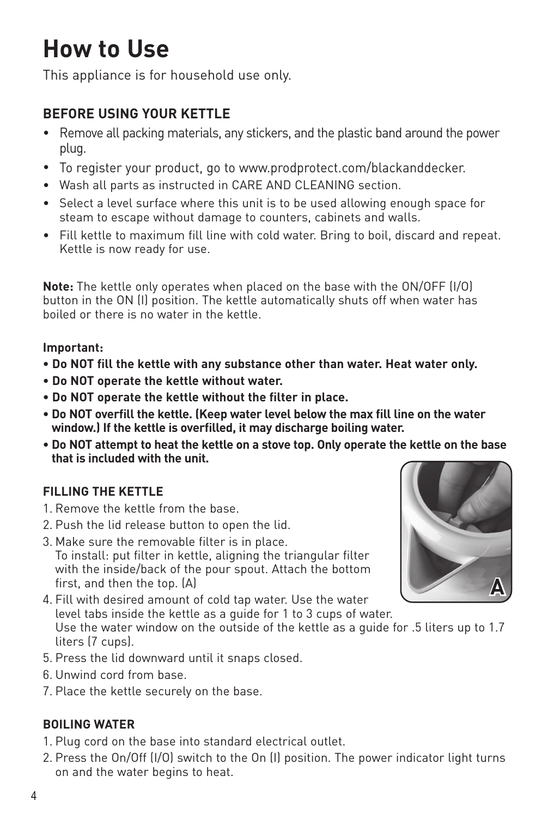# **How to Use**

This appliance is for household use only.

### **BEFORE USING YOUR KETTLE**

- Remove all packing materials, any stickers, and the plastic band around the power plug.
- To register your product, go to www.prodprotect.com/blackanddecker.
- Wash all parts as instructed in CARE AND CLEANING section.
- Select a level surface where this unit is to be used allowing enough space for steam to escape without damage to counters, cabinets and walls.
- Fill kettle to maximum fill line with cold water. Bring to boil, discard and repeat. Kettle is now ready for use.

**Note:** The kettle only operates when placed on the base with the ON/OFF (I/O) button in the ON (I) position. The kettle automatically shuts off when water has boiled or there is no water in the kettle.

### **Important:**

- **Do NOT fill the kettle with any substance other than water. Heat water only.**
- **Do NOT operate the kettle without water.**
- **Do NOT operate the kettle without the filter in place.**
- **Do NOT overfill the kettle. (Keep water level below the max fill line on the water window.) If the kettle is overfilled, it may discharge boiling water.**
- **Do NOT attempt to heat the kettle on a stove top. Only operate the kettle on the base that is included with the unit.**

### **FILLING THE KETTLE**

- 1. Remove the kettle from the base.
- 2. Push the lid release button to open the lid.
- 3. Make sure the removable filter is in place. To install: put filter in kettle, aligning the triangular filter with the inside/back of the pour spout. Attach the bottom first, and then the top. (A)
- 4. Fill with desired amount of cold tap water. Use the water level tabs inside the kettle as a guide for 1 to 3 cups of water. Use the water window on the outside of the kettle as a guide for .5 liters up to 1.7 liters (7 cups).
- 5. Press the lid downward until it snaps closed.
- 6. Unwind cord from base.
- 7. Place the kettle securely on the base.

### **BOILING WATER**

- 1. Plug cord on the base into standard electrical outlet.
- 2. Press the On/Off (I/O) switch to the On (I) position. The power indicator light turns on and the water begins to heat.

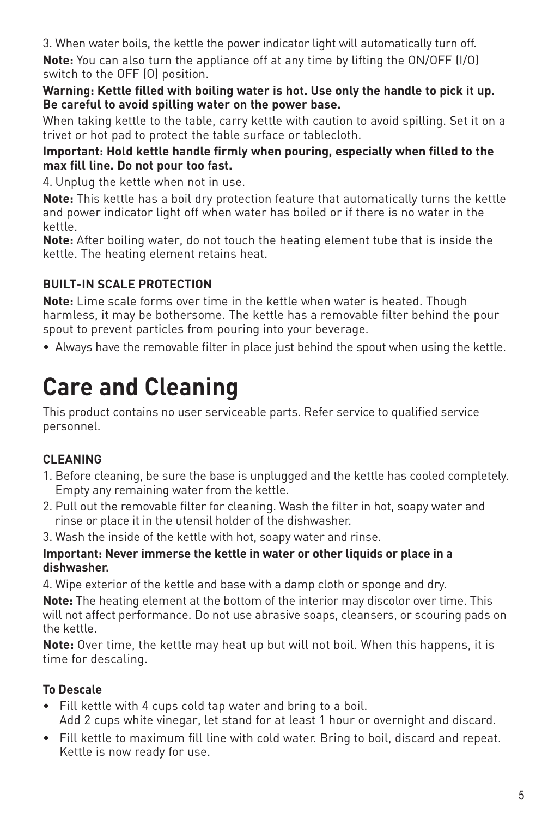3. When water boils, the kettle the power indicator light will automatically turn off. **Note:** You can also turn the appliance off at any time by lifting the ON/OFF (I/O) switch to the OFF (O) position.

**Warning: Kettle filled with boiling water is hot. Use only the handle to pick it up. Be careful to avoid spilling water on the power base.**

When taking kettle to the table, carry kettle with caution to avoid spilling. Set it on a trivet or hot pad to protect the table surface or tablecloth.

### **Important: Hold kettle handle firmly when pouring, especially when filled to the max fill line. Do not pour too fast.**

4. Unplug the kettle when not in use.

**Note:** This kettle has a boil dry protection feature that automatically turns the kettle and power indicator light off when water has boiled or if there is no water in the kettle.

**Note:** After boiling water, do not touch the heating element tube that is inside the kettle. The heating element retains heat.

### **BUILT-IN SCALE PROTECTION**

**Note:** Lime scale forms over time in the kettle when water is heated. Though harmless, it may be bothersome. The kettle has a removable filter behind the pour spout to prevent particles from pouring into your beverage.

• Always have the removable filter in place just behind the spout when using the kettle.

## **Care and Cleaning**

This product contains no user serviceable parts. Refer service to qualified service personnel.

### **CLEANING**

- 1. Before cleaning, be sure the base is unplugged and the kettle has cooled completely. Empty any remaining water from the kettle.
- 2. Pull out the removable filter for cleaning. Wash the filter in hot, soapy water and rinse or place it in the utensil holder of the dishwasher.
- 3. Wash the inside of the kettle with hot, soapy water and rinse.

### **Important: Never immerse the kettle in water or other liquids or place in a dishwasher.**

4. Wipe exterior of the kettle and base with a damp cloth or sponge and dry.

**Note:** The heating element at the bottom of the interior may discolor over time. This will not affect performance. Do not use abrasive soaps, cleansers, or scouring pads on the kettle.

**Note:** Over time, the kettle may heat up but will not boil. When this happens, it is time for descaling.

### **To Descale**

- Fill kettle with 4 cups cold tap water and bring to a boil. Add 2 cups white vinegar, let stand for at least 1 hour or overnight and discard.
- Fill kettle to maximum fill line with cold water. Bring to boil, discard and repeat. Kettle is now ready for use.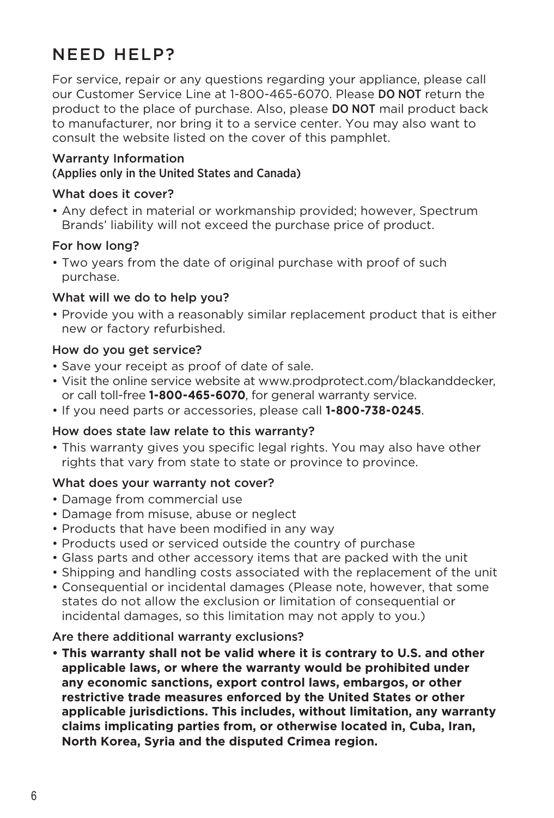### NEED HELP?

For service, repair or any questions regarding your appliance, please call our Customer Service Line at 1-800-465-6070. Please DO NOT return the product to the place of purchase. Also, please DO NOT mail product back to manufacturer, nor bring it to a service center. You may also want to consult the website listed on the cover of this pamphlet.

### Warranty Information

#### (Applies only in the United States and Canada)

### What does it cover?

• Any defect in material or workmanship provided; however, Spectrum Brands' liability will not exceed the purchase price of product.

### For how long?

• Two years from the date of original purchase with proof of such purchase.

### What will we do to help you?

• Provide you with a reasonably similar replacement product that is either new or factory refurbished.

#### How do you get service?

- Save your receipt as proof of date of sale.
- Visit the online service website at www.prodprotect.com/blackanddecker, or call toll-free **1-800-465-6070**, for general warranty service.
- If you need parts or accessories, please call **1-800-738-0245**.

### How does state law relate to this warranty?

• This warranty gives you specific legal rights. You may also have other rights that vary from state to state or province to province.

### What does your warranty not cover?

- Damage from commercial use
- Damage from misuse, abuse or neglect
- Products that have been modified in any way
- Products used or serviced outside the country of purchase
- Glass parts and other accessory items that are packed with the unit
- Shipping and handling costs associated with the replacement of the unit
- Consequential or incidental damages (Please note, however, that some states do not allow the exclusion or limitation of consequential or incidental damages, so this limitation may not apply to you.)

### Are there additional warranty exclusions?

**• This warranty shall not be valid where it is contrary to U.S. and other applicable laws, or where the warranty would be prohibited under any economic sanctions, export control laws, embargos, or other restrictive trade measures enforced by the United States or other applicable jurisdictions. This includes, without limitation, any warranty claims implicating parties from, or otherwise located in, Cuba, Iran, North Korea, Syria and the disputed Crimea region.**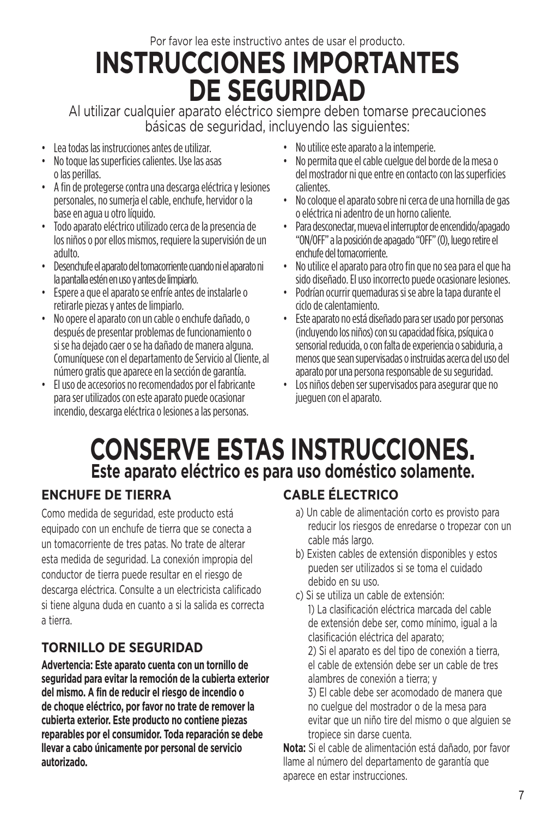Por favor lea este instructivo antes de usar el producto.

# **INSTRUCCIONES IMPORTANTES DE SEGURIDAD**

Al utilizar cualquier aparato eléctrico siempre deben tomarse precauciones básicas de seguridad, incluyendo las siguientes:

- Lea todas las instrucciones antes de utilizar.
- No toque las superficies calientes. Use las asas o las perillas.
- A fin de protegerse contra una descarga eléctrica y lesiones personales, no sumerja el cable, enchufe, hervidor o la base en agua u otro líquido.
- Todo aparato eléctrico utilizado cerca de la presencia de los niños o por ellos mismos, requiere la supervisión de un adulto.
- Desenchufe el aparato del tomacorriente cuando ni el aparato ni la pantalla estén en uso y antes de limpiarlo.
- Espere a que el aparato se enfríe antes de instalarle o retirarle piezas y antes de limpiarlo.
- No opere el aparato con un cable o enchufe dañado, o después de presentar problemas de funcionamiento o si se ha dejado caer o se ha dañado de manera alguna. Comuníquese con el departamento de Servicio al Cliente, al número gratis que aparece en la sección de garantía.
- El uso de accesorios no recomendados por el fabricante para ser utilizados con este aparato puede ocasionar incendio, descarga eléctrica o lesiones a las personas.
- No utilice este aparato a la intemperie.
- No permita que el cable cuelgue del borde de la mesa o del mostrador ni que entre en contacto con las superficies calientes.
- No coloque el aparato sobre ni cerca de una hornilla de gas o eléctrica ni adentro de un horno caliente.
- Para desconectar, mueva el interruptor de encendido/apagado "ON/OFF" a la posición de apagado "OFF" (O), luego retire el enchufe del tomacorriente.
- No utilice el aparato para otro fin que no sea para el que ha sido diseñado. El uso incorrecto puede ocasionare lesiones.
- Podrían ocurrir quemaduras si se abre la tapa durante el ciclo de calentamiento.
- Este aparato no está diseñado para ser usado por personas (incluyendo los niños) con su capacidad física, psíquica o sensorial reducida, o con falta de experiencia o sabiduria, a menos que sean supervisadas o instruidas acerca del uso del aparato por una persona responsable de su seguridad.
- Los niños deben ser supervisados para asegurar que no jueguen con el aparato.

### **CONSERVE ESTAS INSTRUCCIONES. Este aparato eléctrico es para uso doméstico solamente.**

### **ENCHUFE DE TIERRA**

Como medida de seguridad, este producto está equipado con un enchufe de tierra que se conecta a un tomacorriente de tres patas. No trate de alterar esta medida de seguridad. La conexión impropia del conductor de tierra puede resultar en el riesgo de descarga eléctrica. Consulte a un electricista calificado si tiene alguna duda en cuanto a si la salida es correcta a tierra.

### **TORNILLO DE SEGURIDAD**

**Advertencia: Este aparato cuenta con un tornillo de seguridad para evitar la remoción de la cubierta exterior del mismo. A fin de reducir el riesgo de incendio o de choque eléctrico, por favor no trate de remover la cubierta exterior. Este producto no contiene piezas reparables por el consumidor. Toda reparación se debe llevar a cabo únicamente por personal de servicio autorizado.**

### **CABLE ÉLECTRICO**

- a) Un cable de alimentación corto es provisto para reducir los riesgos de enredarse o tropezar con un cable más largo.
- b) Existen cables de extensión disponibles y estos pueden ser utilizados si se toma el cuidado debido en su uso.
- c) Si se utiliza un cable de extensión: 1) La clasificación eléctrica marcada del cable de extensión debe ser, como mínimo, igual a la clasificación eléctrica del aparato;

2) Si el aparato es del tipo de conexión a tierra, el cable de extensión debe ser un cable de tres alambres de conexión a tierra; y

3) El cable debe ser acomodado de manera que no cuelgue del mostrador o de la mesa para evitar que un niño tire del mismo o que alguien se tropiece sin darse cuenta.

**Nota:** Si el cable de alimentación está dañado, por favor llame al número del departamento de garantía que aparece en estar instrucciones.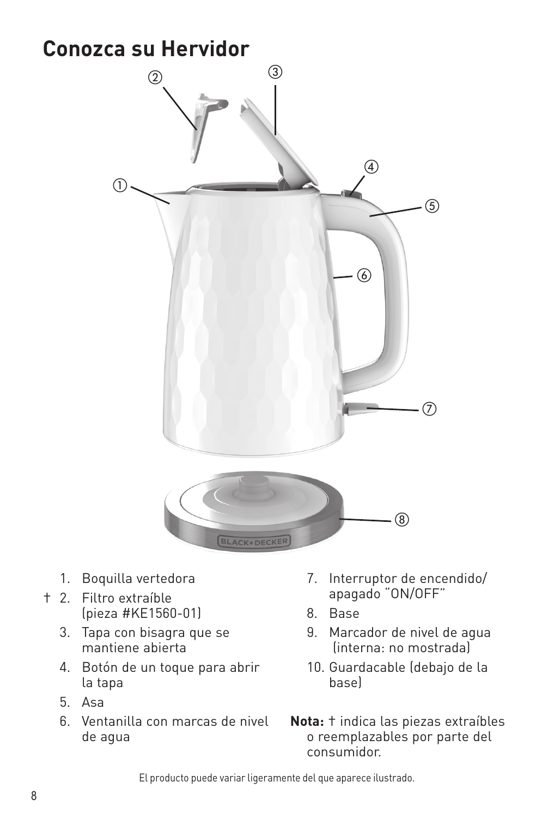### **Conozca su Hervidor**



- 1. Boquilla vertedora
- † 2. Filtro extraíble (pieza #KE1560-01)
	- 3. Tapa con bisagra que se mantiene abierta
	- 4. Botón de un toque para abrir la tapa
	- 5. Asa
	- 6. Ventanilla con marcas de nivel de agua
- 7. Interruptor de encendido/ apagado "ON/OFF"
- 8. Base
- 9. Marcador de nivel de agua (interna: no mostrada)
- 10. Guardacable (debajo de la base)

**Nota:** † indica las piezas extraíbles o reemplazables por parte del consumidor.

El producto puede variar ligeramente del que aparece ilustrado.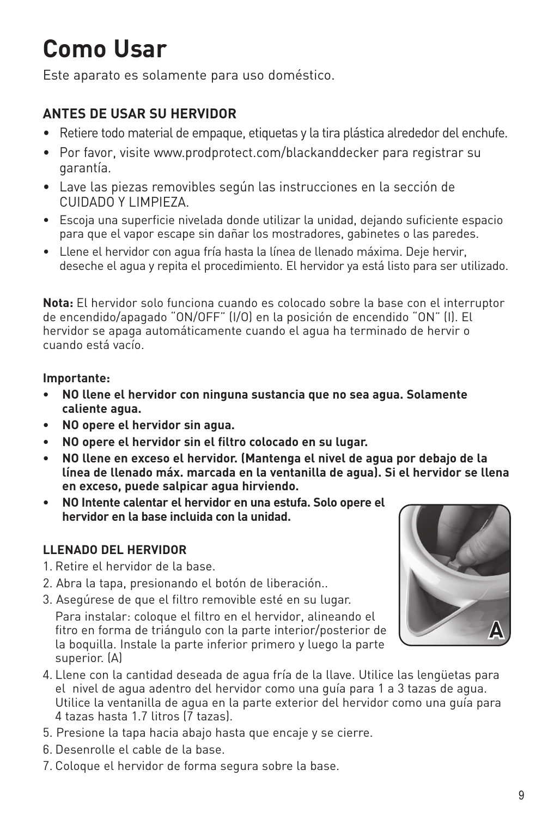# **Como Usar**

Este aparato es solamente para uso doméstico.

### **ANTES DE USAR SU HERVIDOR**

- Retiere todo material de empaque, etiquetas y la tira plástica alrededor del enchufe.
- Por favor, visite www.prodprotect.com/blackanddecker para registrar su garantía.
- Lave las piezas removibles según las instrucciones en la sección de CUIDADO Y LIMPIEZA.
- Escoja una superficie nivelada donde utilizar la unidad, dejando suficiente espacio para que el vapor escape sin dañar los mostradores, gabinetes o las paredes.
- Llene el hervidor con agua fría hasta la línea de llenado máxima. Deje hervir, deseche el agua y repita el procedimiento. El hervidor ya está listo para ser utilizado.

**Nota:** El hervidor solo funciona cuando es colocado sobre la base con el interruptor de encendido/apagado "ON/OFF" (I/O) en la posición de encendido "ON" (I). El hervidor se apaga automáticamente cuando el agua ha terminado de hervir o cuando está vacío.

### **Importante:**

- **NO llene el hervidor con ninguna sustancia que no sea agua. Solamente caliente agua.**
- **• NO opere el hervidor sin agua.**
- **• NO opere el hervidor sin el filtro colocado en su lugar.**
- **NO llene en exceso el hervidor. (Mantenga el nivel de agua por debajo de la línea de llenado máx. marcada en la ventanilla de agua). Si el hervidor se llena en exceso, puede salpicar agua hirviendo.**
- **NO Intente calentar el hervidor en una estufa. Solo opere el hervidor en la base incluida con la unidad.**

### **LLENADO DEL HERVIDOR**

- 1. Retire el hervidor de la base.
- 2. Abra la tapa, presionando el botón de liberación..
- 3. Asegúrese de que el filtro removible esté en su lugar.

Para instalar: coloque el filtro en el hervidor, alineando el fitro en forma de triángulo con la parte interior/posterior de la boquilla. Instale la parte inferior primero y luego la parte superior. (A)

- 4. Llene con la cantidad deseada de agua fría de la llave. Utilice las lengüetas para el nivel de agua adentro del hervidor como una guía para 1 a 3 tazas de agua. Utilice la ventanilla de agua en la parte exterior del hervidor como una guía para 4 tazas hasta 1.7 litros (7 tazas).
- 5. Presione la tapa hacia abajo hasta que encaje y se cierre.
- 6. Desenrolle el cable de la base.
- 7. Coloque el hervidor de forma segura sobre la base.

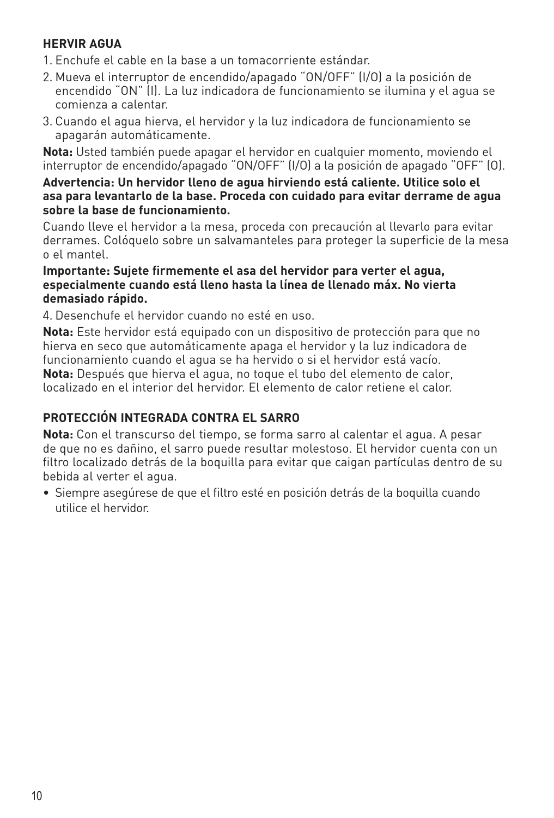### **HERVIR AGUA**

- 1. Enchufe el cable en la base a un tomacorriente estándar.
- 2. Mueva el interruptor de encendido/apagado "ON/OFF" (I/O) a la posición de encendido "ON" (I). La luz indicadora de funcionamiento se ilumina y el agua se comienza a calentar.
- 3. Cuando el agua hierva, el hervidor y la luz indicadora de funcionamiento se apagarán automáticamente.

**Nota:** Usted también puede apagar el hervidor en cualquier momento, moviendo el interruptor de encendido/apagado "ON/OFF" (I/O) a la posición de apagado "OFF" (O).

#### **Advertencia: Un hervidor lleno de agua hirviendo está caliente. Utilice solo el asa para levantarlo de la base. Proceda con cuidado para evitar derrame de agua sobre la base de funcionamiento.**

Cuando lleve el hervidor a la mesa, proceda con precaución al llevarlo para evitar derrames. Colóquelo sobre un salvamanteles para proteger la superficie de la mesa o el mantel.

#### **Importante: Sujete firmemente el asa del hervidor para verter el agua, especialmente cuando está lleno hasta la línea de llenado máx. No vierta demasiado rápido.**

4. Desenchufe el hervidor cuando no esté en uso.

**Nota:** Este hervidor está equipado con un dispositivo de protección para que no hierva en seco que automáticamente apaga el hervidor y la luz indicadora de funcionamiento cuando el agua se ha hervido o si el hervidor está vacío. **Nota:** Después que hierva el agua, no toque el tubo del elemento de calor, localizado en el interior del hervidor. El elemento de calor retiene el calor.

### **PROTECCIÓN INTEGRADA CONTRA EL SARRO**

**Nota:** Con el transcurso del tiempo, se forma sarro al calentar el agua. A pesar de que no es dañino, el sarro puede resultar molestoso. El hervidor cuenta con un filtro localizado detrás de la boquilla para evitar que caigan partículas dentro de su bebida al verter el agua.

• Siempre asegúrese de que el filtro esté en posición detrás de la boquilla cuando utilice el hervidor.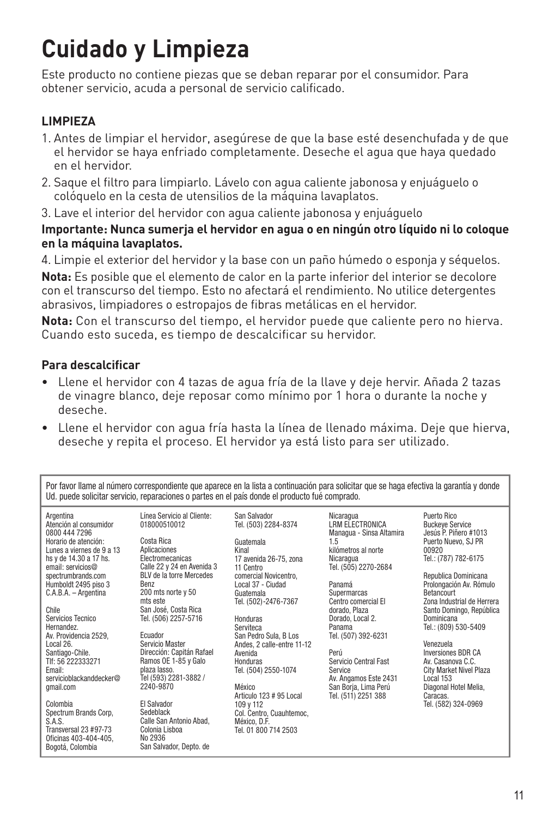# **Cuidado y Limpieza**

Este producto no contiene piezas que se deban reparar por el consumidor. Para obtener servicio, acuda a personal de servicio calificado.

### **LIMPIEZA**

- 1. Antes de limpiar el hervidor, asegúrese de que la base esté desenchufada y de que el hervidor se haya enfriado completamente. Deseche el agua que haya quedado en el hervidor.
- 2. Saque el filtro para limpiarlo. Lávelo con agua caliente jabonosa y enjuáguelo o colóquelo en la cesta de utensilios de la máquina lavaplatos.
- 3. Lave el interior del hervidor con agua caliente jabonosa y enjuáguelo

### **Importante: Nunca sumerja el hervidor en agua o en ningún otro líquido ni lo coloque en la máquina lavaplatos.**

4. Limpie el exterior del hervidor y la base con un paño húmedo o esponja y séquelos.

**Nota:** Es posible que el elemento de calor en la parte inferior del interior se decolore con el transcurso del tiempo. Esto no afectará el rendimiento. No utilice detergentes abrasivos, limpiadores o estropajos de fibras metálicas en el hervidor.

**Nota:** Con el transcurso del tiempo, el hervidor puede que caliente pero no hierva. Cuando esto suceda, es tiempo de descalcificar su hervidor.

### **Para descalcificar**

- Llene el hervidor con 4 tazas de agua fría de la llave y deje hervir. Añada 2 tazas de vinagre blanco, deje reposar como mínimo por 1 hora o durante la noche y deseche.
- Llene el hervidor con agua fría hasta la línea de llenado máxima. Deje que hierva, deseche y repita el proceso. El hervidor ya está listo para ser utilizado.

Por favor llame al número correspondiente que aparece en la lista a continuación para solicitar que se haga efectiva la garantía y donde Ud. puede solicitar servicio, reparaciones o partes en el país donde el producto fué comprado.

| Argentina<br>Atención al consumidor<br>0800 444 7296 |
|------------------------------------------------------|
| Horario de atención:                                 |
| Lunes a viernes de 9 a 13                            |
| hs y de 14.30 a 17 hs.                               |
| email: servicios@                                    |
| spectrumbrands.com                                   |
| Humboldt 2495 piso 3                                 |
| C.A.B.A. - Argentina                                 |
| Chile<br>Considion Topping                           |

ervicios Tecnico Hernandez. Av. Providencia 2529, Local 26. Santiago-Chile. Tlf: 56 222333271 Email: servicioblackanddecker@ gmail.com

Colombia Spectrum Brands Corp, S.A.S. Transversal 23 #97-73 Oficinas 403-404-405, Bogotá, Colombia

Línea Servicio al Cliente: 018000510012 Costa Rica Aplicaciones Electromecanicas Calle 22 y 24 en Avenida 3 BLV de la torre Mercedes Benz 200 mts norte y 50 mts este San José, Costa Rica Tel. (506) 2257-5716

Ecuador Servicio Master Dirección: Capitán Rafael Ramos OE 1-85 y Galo plaza lasso. Tel (593) 2281-3882 / 2240-9870

El Salvador Sedeblack Calle San Antonio Abad, Colonia Lisboa No 2936 San Salvador, Depto. de

San Salvador Tel. (503) 2284-8374 Guatemala Kinal 17 avenida 26-75, zona 11 Centro comercial Novicentro, Local 37 - Ciudad Guatemala Tel. (502)-2476-7367

Honduras Serviteca San Pedro Sula, B Los Andes, 2 calle-entre 11-12 Avenida Honduras Tel. (504) 2550-1074

México Articulo 123 # 95 Local 109 y 112 Col. Centro, Cuauhtemoc, México, D.F. Tel. 01 800 714 2503

Nicaragua LRM ELECTRONICA Managua - Sinsa Altamira 1.5 kilómetros al norte Nicaragua Tel. (505) 2270-2684

Panamá Supermarcas Centro comercial El dorado, Plaza Dorado, Local 2. Panama Tel. (507) 392-6231

Perú Servicio Central Fast Service Av. Angamos Este 2431 San Borja, Lima Perú Tel. (511) 2251 388

Puerto Rico Buckeye Service Jesús P. Piñero #1013 Puerto Nuevo, SJ PR 00920 Tel.: (787) 782-6175

Republica Dominicana Prolongación Av. Rómulo **Betancourt** Zona Industrial de Herrera Santo Domingo, República Dominicana Tel.: (809) 530-5409

Venezuela Inversiones BDR CA Av. Casanova C.C. City Market Nivel Plaza Local 153 Diagonal Hotel Melia, Caracas. Tel. (582) 324-0969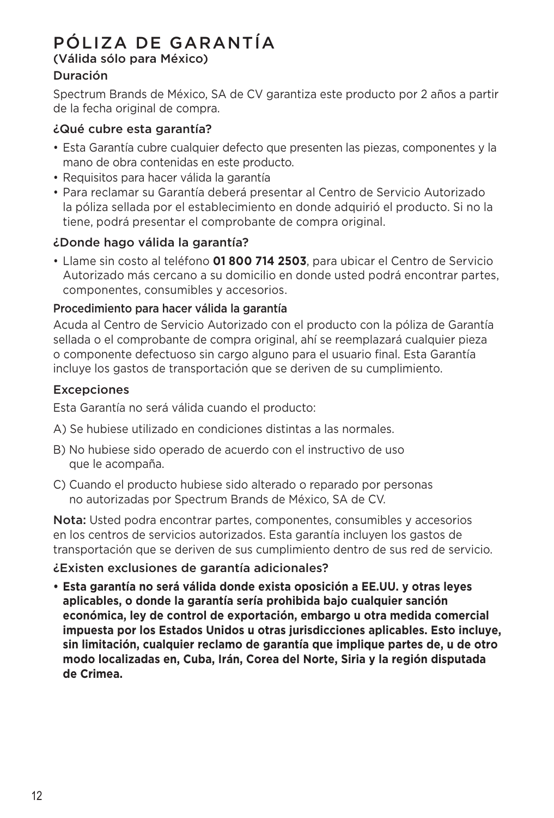### PÓLIZA DE GARANTÍA

#### (Válida sólo para México) Duración

Spectrum Brands de México, SA de CV garantiza este producto por 2 años a partir de la fecha original de compra.

### ¿Qué cubre esta garantía?

- Esta Garantía cubre cualquier defecto que presenten las piezas, componentes y la mano de obra contenidas en este producto.
- Requisitos para hacer válida la garantía
- Para reclamar su Garantía deberá presentar al Centro de Servicio Autorizado la póliza sellada por el establecimiento en donde adquirió el producto. Si no la tiene, podrá presentar el comprobante de compra original.

### ¿Donde hago válida la garantía?

• Llame sin costo al teléfono **01 800 714 2503**, para ubicar el Centro de Servicio Autorizado más cercano a su domicilio en donde usted podrá encontrar partes, componentes, consumibles y accesorios.

### Procedimiento para hacer válida la garantía

Acuda al Centro de Servicio Autorizado con el producto con la póliza de Garantía sellada o el comprobante de compra original, ahí se reemplazará cualquier pieza o componente defectuoso sin cargo alguno para el usuario final. Esta Garantía incluye los gastos de transportación que se deriven de su cumplimiento.

### **Excepciones**

Esta Garantía no será válida cuando el producto:

- A) Se hubiese utilizado en condiciones distintas a las normales.
- B) No hubiese sido operado de acuerdo con el instructivo de uso que le acompaña.
- C) Cuando el producto hubiese sido alterado o reparado por personas no autorizadas por Spectrum Brands de México, SA de CV.

Nota: Usted podra encontrar partes, componentes, consumibles y accesorios en los centros de servicios autorizados. Esta garantía incluyen los gastos de transportación que se deriven de sus cumplimiento dentro de sus red de servicio.

¿Existen exclusiones de garantía adicionales?

**• Esta garantía no será válida donde exista oposición a EE.UU. y otras leyes aplicables, o donde la garantía sería prohibida bajo cualquier sanción económica, ley de control de exportación, embargo u otra medida comercial impuesta por los Estados Unidos u otras jurisdicciones aplicables. Esto incluye, sin limitación, cualquier reclamo de garantía que implique partes de, u de otro modo localizadas en, Cuba, Irán, Corea del Norte, Siria y la región disputada de Crimea.**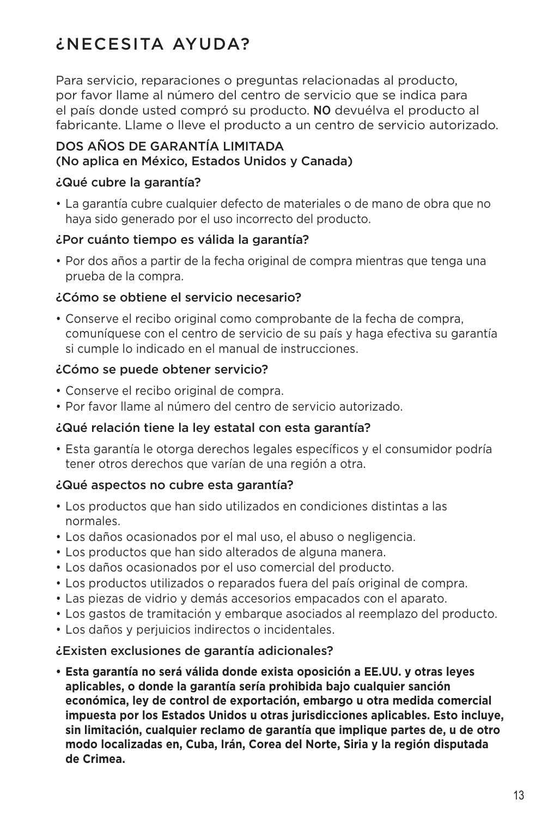### ¿NECESITA AYUDA?

Para servicio, reparaciones o preguntas relacionadas al producto, por favor llame al número del centro de servicio que se indica para el país donde usted compró su producto. NO devuélva el producto al fabricante. Llame o lleve el producto a un centro de servicio autorizado.

### DOS AÑOS DE GARANTÍA LIMITADA (No aplica en México, Estados Unidos y Canada)

### ¿Qué cubre la garantía?

• La garantía cubre cualquier defecto de materiales o de mano de obra que no haya sido generado por el uso incorrecto del producto.

### ¿Por cuánto tiempo es válida la garantía?

• Por dos años a partir de la fecha original de compra mientras que tenga una prueba de la compra.

### ¿Cómo se obtiene el servicio necesario?

• Conserve el recibo original como comprobante de la fecha de compra, comuníquese con el centro de servicio de su país y haga efectiva su garantía si cumple lo indicado en el manual de instrucciones.

### ¿Cómo se puede obtener servicio?

- Conserve el recibo original de compra.
- Por favor llame al número del centro de servicio autorizado.

### ¿Qué relación tiene la ley estatal con esta garantía?

• Esta garantía le otorga derechos legales específicos y el consumidor podría tener otros derechos que varían de una región a otra.

### ¿Qué aspectos no cubre esta garantía?

- Los productos que han sido utilizados en condiciones distintas a las normales.
- Los daños ocasionados por el mal uso, el abuso o negligencia.
- Los productos que han sido alterados de alguna manera.
- Los daños ocasionados por el uso comercial del producto.
- Los productos utilizados o reparados fuera del país original de compra.
- Las piezas de vidrio y demás accesorios empacados con el aparato.
- Los gastos de tramitación y embarque asociados al reemplazo del producto.
- Los daños y perjuicios indirectos o incidentales.

### ¿Existen exclusiones de garantía adicionales?

**• Esta garantía no será válida donde exista oposición a EE.UU. y otras leyes aplicables, o donde la garantía sería prohibida bajo cualquier sanción económica, ley de control de exportación, embargo u otra medida comercial impuesta por los Estados Unidos u otras jurisdicciones aplicables. Esto incluye, sin limitación, cualquier reclamo de garantía que implique partes de, u de otro modo localizadas en, Cuba, Irán, Corea del Norte, Siria y la región disputada de Crimea.**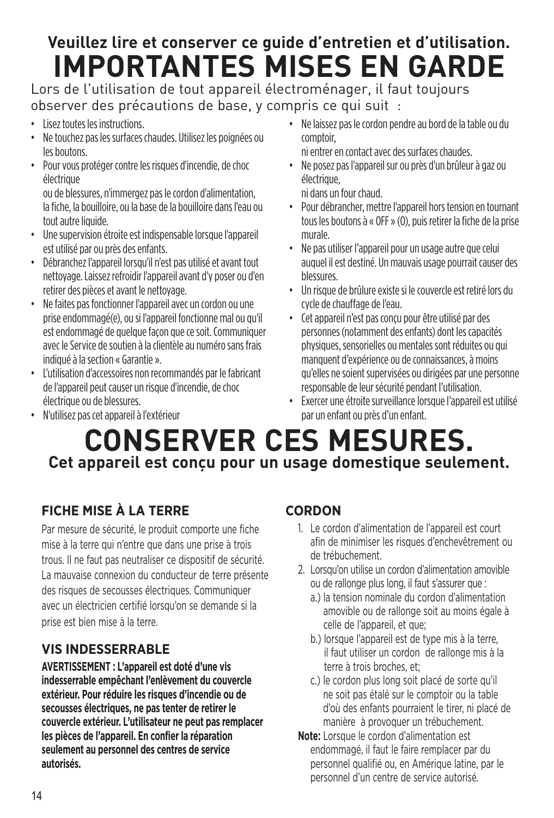### **Veuillez lire et conserver ce guide d'entretien et d'utilisation. IMPORTANTES MISES EN GARDE**

Lors de l'utilisation de tout appareil électroménager, il faut toujours observer des précautions de base, y compris ce qui suit :

- Lisez toutes les instructions.
- Ne touchez pas les surfaces chaudes. Utilisez les poignées ou les boutons.
- Pour vous protéger contre les risques d'incendie, de choc électrique

ou de blessures, n'immergez pas le cordon d'alimentation, la fiche, la bouilloire, ou la base de la bouilloire dans l'eau ou tout autre liquide.

- Une supervision étroite est indispensable lorsque l'appareil est utilisé par ou près des enfants.
- Débranchez l'appareil lorsqu'il n'est pas utilisé et avant tout nettoyage. Laissez refroidir l'appareil avant d'y poser ou d'en retirer des pièces et avant le nettoyage.
- Ne faites pas fonctionner l'appareil avec un cordon ou une prise endommagé(e), ou si l'appareil fonctionne mal ou qu'il est endommagé de quelque façon que ce soit. Communiquer avec le Service de soutien à la clientèle au numéro sans frais indiqué à la section « Garantie ».
- L'utilisation d'accessoires non recommandés par le fabricant de l'appareil peut causer un risque d'incendie, de choc électrique ou de blessures. • N'utilisez pas cet appareil à l'extérieur
- Ne laissez pas le cordon pendre au bord de la table ou du comptoir,
- ni entrer en contact avec des surfaces chaudes. • Ne posez pas l'appareil sur ou près d'un brûleur à gaz ou électrique,

ni dans un four chaud.

- Pour débrancher, mettre l'appareil hors tension en tournant tous les boutons à « OFF » (O), puis retirer la fiche de la prise murale.
- Ne pas utiliser l'appareil pour un usage autre que celui auquel il est destiné. Un mauvais usage pourrait causer des blessures.
- Un risque de brûlure existe si le couvercle est retiré lors du cycle de chauffage de l'eau.
- Cet appareil n'est pas conçu pour être utilisé par des personnes (notamment des enfants) dont les capacités physiques, sensorielles ou mentales sont réduites ou qui manquent d'expérience ou de connaissances, à moins qu'elles ne soient supervisées ou dirigées par une personne responsable de leur sécurité pendant l'utilisation.
- Exercer une étroite surveillance lorsque l'appareil est utilisé par un enfant ou près d'un enfant.

### **CONSERVER CES MESURES. Cet appareil est conçu pour un usage domestique seulement.**

### **FICHE MISE À LA TERRE**

Par mesure de sécurité, le produit comporte une fiche mise à la terre qui n'entre que dans une prise à trois trous. Il ne faut pas neutraliser ce dispositif de sécurité. La mauvaise connexion du conducteur de terre présente des risques de secousses électriques. Communiquer avec un électricien certifié lorsqu'on se demande si la prise est bien mise à la terre.

### **VIS INDESSERRABLE**

**AVERTISSEMENT : L'appareil est doté d'une vis indesserrable empêchant l'enlèvement du couvercle extérieur. Pour réduire les risques d'incendie ou de secousses électriques, ne pas tenter de retirer le couvercle extérieur. L'utilisateur ne peut pas remplacer les pièces de l'appareil. En confier la réparation seulement au personnel des centres de service autorisés.**

### **CORDON**

- 1. Le cordon d'alimentation de l'appareil est court afin de minimiser les risques d'enchevêtrement ou de trébuchement.
- 2. Lorsqu'on utilise un cordon d'alimentation amovible ou de rallonge plus long, il faut s'assurer que :
	- a.) la tension nominale du cordon d'alimentation amovible ou de rallonge soit au moins égale à celle de l'appareil, et que;
	- b.) lorsque l'appareil est de type mis à la terre, il faut utiliser un cordon de rallonge mis à la terre à trois broches, et;
	- c.) le cordon plus long soit placé de sorte qu'il ne soit pas étalé sur le comptoir ou la table d'où des enfants pourraient le tirer, ni placé de manière à provoquer un trébuchement.
- **Note:** Lorsque le cordon d'alimentation est endommagé, il faut le faire remplacer par du personnel qualifié ou, en Amérique latine, par le personnel d'un centre de service autorisé.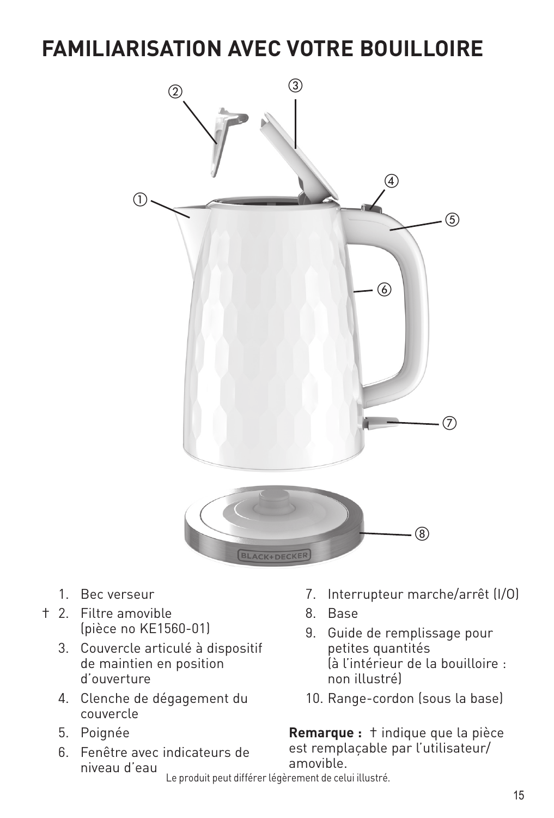### **FAMILIARISATION AVEC VOTRE BOUILLOIRE**



- 1. Bec verseur
- † 2. Filtre amovible (pièce no KE1560-01)
	- 3. Couvercle articulé à dispositif de maintien en position d'ouverture
	- 4. Clenche de dégagement du couvercle
	- 5. Poignée
	- 6. Fenêtre avec indicateurs de niveau d'eau
- 7. Interrupteur marche/arrêt (I/O)
- 8. Base
- 9. Guide de remplissage pour petites quantités (à l'intérieur de la bouilloire : non illustré)
- 10. Range-cordon (sous la base)

**Remarque :** † indique que la pièce est remplaçable par l'utilisateur/ amovible.

Le produit peut différer légèrement de celui illustré.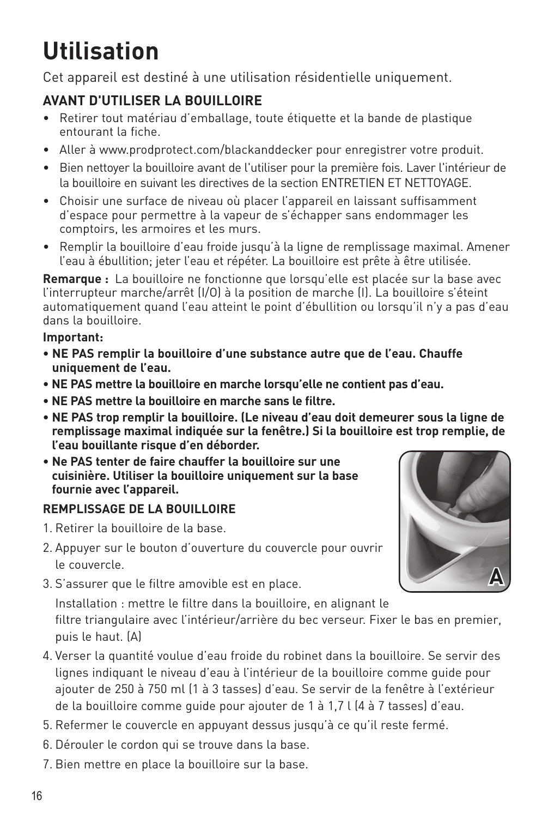# **Utilisation**

Cet appareil est destiné à une utilisation résidentielle uniquement.

### **AVANT D'UTILISER LA BOUILLOIRE**

- Retirer tout matériau d'emballage, toute étiquette et la bande de plastique entourant la fiche.
- Aller à www.prodprotect.com/blackanddecker pour enregistrer votre produit.
- Bien nettoyer la bouilloire avant de l'utiliser pour la première fois. Laver l'intérieur de la bouilloire en suivant les directives de la section ENTRETIEN ET NETTOYAGE.
- Choisir une surface de niveau où placer l'appareil en laissant suffisamment d'espace pour permettre à la vapeur de s'échapper sans endommager les comptoirs, les armoires et les murs.
- Remplir la bouilloire d'eau froide jusqu'à la ligne de remplissage maximal. Amener l'eau à ébullition; jeter l'eau et répéter. La bouilloire est prête à être utilisée.

**Remarque :** La bouilloire ne fonctionne que lorsqu'elle est placée sur la base avec l'interrupteur marche/arrêt (I/O) à la position de marche (I). La bouilloire s'éteint automatiquement quand l'eau atteint le point d'ébullition ou lorsqu'il n'y a pas d'eau dans la bouilloire.

### **Important:**

- **NE PAS remplir la bouilloire d'une substance autre que de l'eau. Chauffe uniquement de l'eau.**
- **NE PAS mettre la bouilloire en marche lorsqu'elle ne contient pas d'eau.**
- **NE PAS mettre la bouilloire en marche sans le filtre.**
- **NE PAS trop remplir la bouilloire. (Le niveau d'eau doit demeurer sous la ligne de remplissage maximal indiquée sur la fenêtre.) Si la bouilloire est trop remplie, de l'eau bouillante risque d'en déborder.**
- **Ne PAS tenter de faire chauffer la bouilloire sur une cuisinière. Utiliser la bouilloire uniquement sur la base fournie avec l'appareil.**

### **REMPLISSAGE DE LA BOUILLOIRE**

- 1. Retirer la bouilloire de la base.
- 2. Appuyer sur le bouton d'ouverture du couvercle pour ouvrir le couvercle.
- 3. S'assurer que le filtre amovible est en place.

Installation : mettre le filtre dans la bouilloire, en alignant le filtre triangulaire avec l'intérieur/arrière du bec verseur. Fixer le bas en premier, puis le haut. (A)

- 4. Verser la quantité voulue d'eau froide du robinet dans la bouilloire. Se servir des lignes indiquant le niveau d'eau à l'intérieur de la bouilloire comme guide pour ajouter de 250 à 750 ml (1 à 3 tasses) d'eau. Se servir de la fenêtre à l'extérieur de la bouilloire comme guide pour ajouter de 1 à 1,7 l (4 à 7 tasses) d'eau.
- 5. Refermer le couvercle en appuyant dessus jusqu'à ce qu'il reste fermé.
- 6. Dérouler le cordon qui se trouve dans la base.
- 7. Bien mettre en place la bouilloire sur la base.

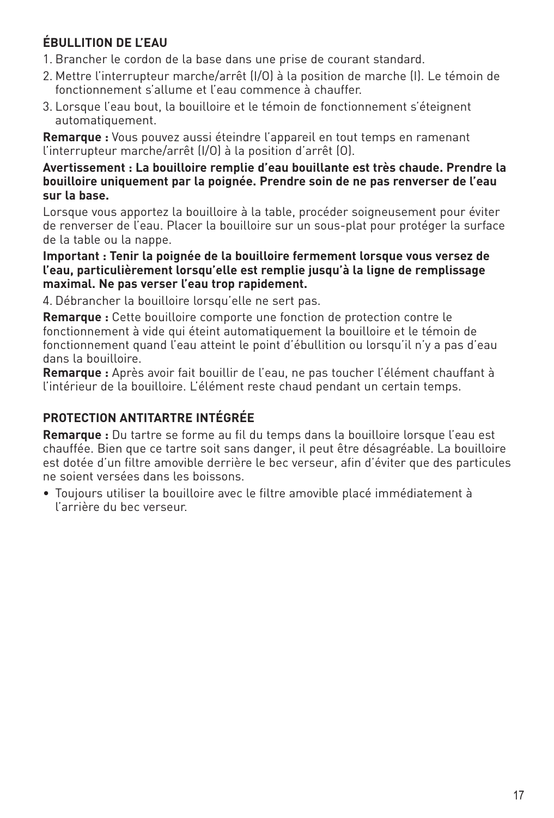### **ÉBULLITION DE L'EAU**

- 1. Brancher le cordon de la base dans une prise de courant standard.
- 2. Mettre l'interrupteur marche/arrêt (I/O) à la position de marche (I). Le témoin de fonctionnement s'allume et l'eau commence à chauffer.
- 3. Lorsque l'eau bout, la bouilloire et le témoin de fonctionnement s'éteignent automatiquement.

**Remarque :** Vous pouvez aussi éteindre l'appareil en tout temps en ramenant l'interrupteur marche/arrêt (I/O) à la position d'arrêt (O).

#### **Avertissement : La bouilloire remplie d'eau bouillante est très chaude. Prendre la bouilloire uniquement par la poignée. Prendre soin de ne pas renverser de l'eau sur la base.**

Lorsque vous apportez la bouilloire à la table, procéder soigneusement pour éviter de renverser de l'eau. Placer la bouilloire sur un sous-plat pour protéger la surface de la table ou la nappe.

#### **Important : Tenir la poignée de la bouilloire fermement lorsque vous versez de l'eau, particulièrement lorsqu'elle est remplie jusqu'à la ligne de remplissage maximal. Ne pas verser l'eau trop rapidement.**

4. Débrancher la bouilloire lorsqu'elle ne sert pas.

**Remarque :** Cette bouilloire comporte une fonction de protection contre le fonctionnement à vide qui éteint automatiquement la bouilloire et le témoin de fonctionnement quand l'eau atteint le point d'ébullition ou lorsqu'il n'y a pas d'eau dans la bouilloire.

**Remarque :** Après avoir fait bouillir de l'eau, ne pas toucher l'élément chauffant à l'intérieur de la bouilloire. L'élément reste chaud pendant un certain temps.

### **PROTECTION ANTITARTRE INTÉGRÉE**

**Remarque :** Du tartre se forme au fil du temps dans la bouilloire lorsque l'eau est chauffée. Bien que ce tartre soit sans danger, il peut être désagréable. La bouilloire est dotée d'un filtre amovible derrière le bec verseur, afin d'éviter que des particules ne soient versées dans les boissons.

• Toujours utiliser la bouilloire avec le filtre amovible placé immédiatement à l'arrière du bec verseur.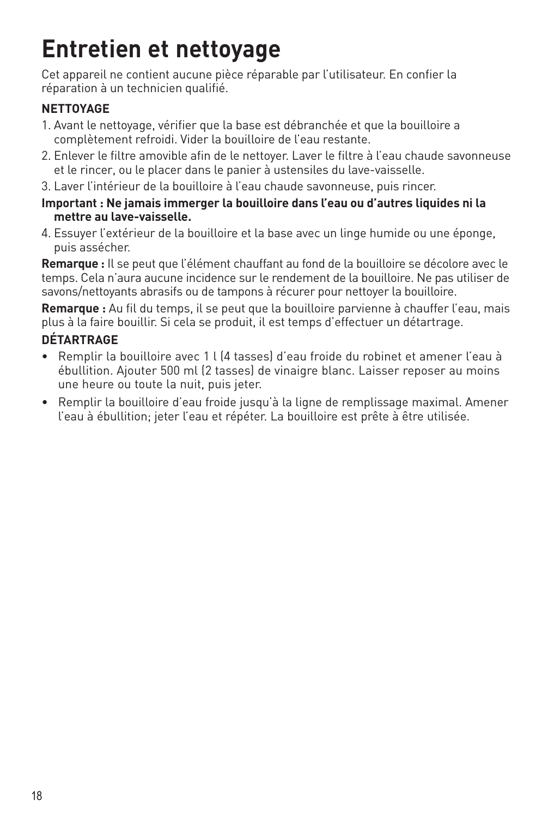# **Entretien et nettoyage**

Cet appareil ne contient aucune pièce réparable par l'utilisateur. En confier la réparation à un technicien qualifié.

### **NETTOYAGE**

- 1. Avant le nettoyage, vérifier que la base est débranchée et que la bouilloire a complètement refroidi. Vider la bouilloire de l'eau restante.
- 2. Enlever le filtre amovible afin de le nettoyer. Laver le filtre à l'eau chaude savonneuse et le rincer, ou le placer dans le panier à ustensiles du lave-vaisselle.
- 3. Laver l'intérieur de la bouilloire à l'eau chaude savonneuse, puis rincer.
- **Important : Ne jamais immerger la bouilloire dans l'eau ou d'autres liquides ni la mettre au lave-vaisselle.**
- 4. Essuyer l'extérieur de la bouilloire et la base avec un linge humide ou une éponge, puis assécher.

**Remarque :** Il se peut que l'élément chauffant au fond de la bouilloire se décolore avec le temps. Cela n'aura aucune incidence sur le rendement de la bouilloire. Ne pas utiliser de savons/nettoyants abrasifs ou de tampons à récurer pour nettoyer la bouilloire.

**Remarque :** Au fil du temps, il se peut que la bouilloire parvienne à chauffer l'eau, mais plus à la faire bouillir. Si cela se produit, il est temps d'effectuer un détartrage.

### **DÉTARTRAGE**

- Remplir la bouilloire avec 1 l (4 tasses) d'eau froide du robinet et amener l'eau à ébullition. Ajouter 500 ml (2 tasses) de vinaigre blanc. Laisser reposer au moins une heure ou toute la nuit, puis jeter.
- Remplir la bouilloire d'eau froide jusqu'à la ligne de remplissage maximal. Amener l'eau à ébullition; jeter l'eau et répéter. La bouilloire est prête à être utilisée.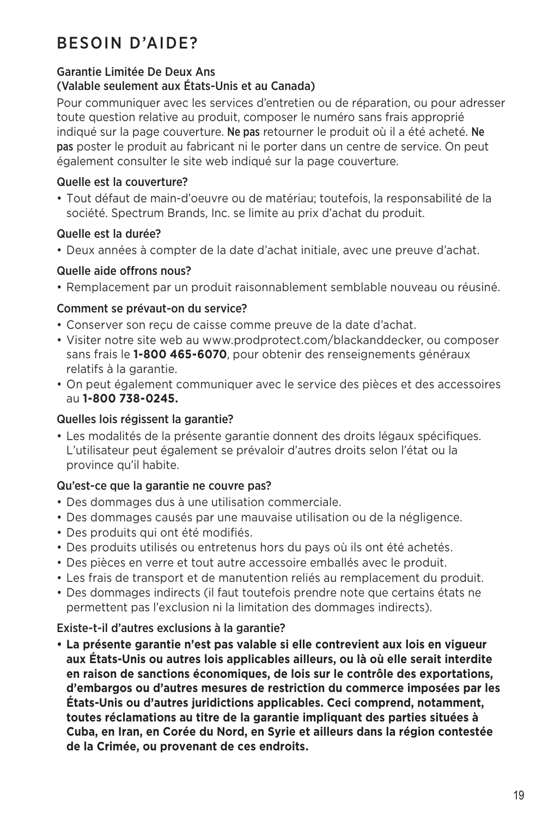### BESOIN D'AIDE?

### Garantie Limitée De Deux Ans

### (Valable seulement aux États-Unis et au Canada)

Pour communiquer avec les services d'entretien ou de réparation, ou pour adresser toute question relative au produit, composer le numéro sans frais approprié indiqué sur la page couverture. Ne pas retourner le produit où il a été acheté. Ne pas poster le produit au fabricant ni le porter dans un centre de service. On peut également consulter le site web indiqué sur la page couverture.

### Quelle est la couverture?

• Tout défaut de main-d'oeuvre ou de matériau; toutefois, la responsabilité de la société. Spectrum Brands, Inc. se limite au prix d'achat du produit.

### Quelle est la durée?

• Deux années à compter de la date d'achat initiale, avec une preuve d'achat.

### Quelle aide offrons nous?

• Remplacement par un produit raisonnablement semblable nouveau ou réusiné.

### Comment se prévaut-on du service?

- Conserver son reçu de caisse comme preuve de la date d'achat.
- Visiter notre site web au www.prodprotect.com/blackanddecker, ou composer sans frais le **1-800 465-6070**, pour obtenir des renseignements généraux relatifs à la garantie.
- On peut également communiquer avec le service des pièces et des accessoires au **1-800 738-0245.**

### Quelles lois régissent la garantie?

• Les modalités de la présente garantie donnent des droits légaux spécifiques. L'utilisateur peut également se prévaloir d'autres droits selon l'état ou la province qu'il habite.

### Qu'est-ce que la garantie ne couvre pas?

- Des dommages dus à une utilisation commerciale.
- Des dommages causés par une mauvaise utilisation ou de la négligence.
- Des produits qui ont été modifiés.
- Des produits utilisés ou entretenus hors du pays où ils ont été achetés.
- Des pièces en verre et tout autre accessoire emballés avec le produit.
- Les frais de transport et de manutention reliés au remplacement du produit.
- Des dommages indirects (il faut toutefois prendre note que certains états ne permettent pas l'exclusion ni la limitation des dommages indirects).

### Existe-t-il d'autres exclusions à la garantie?

**• La présente garantie n'est pas valable si elle contrevient aux lois en vigueur aux États-Unis ou autres lois applicables ailleurs, ou là où elle serait interdite en raison de sanctions économiques, de lois sur le contrôle des exportations, d'embargos ou d'autres mesures de restriction du commerce imposées par les États-Unis ou d'autres juridictions applicables. Ceci comprend, notamment, toutes réclamations au titre de la garantie impliquant des parties situées à Cuba, en Iran, en Corée du Nord, en Syrie et ailleurs dans la région contestée de la Crimée, ou provenant de ces endroits.**